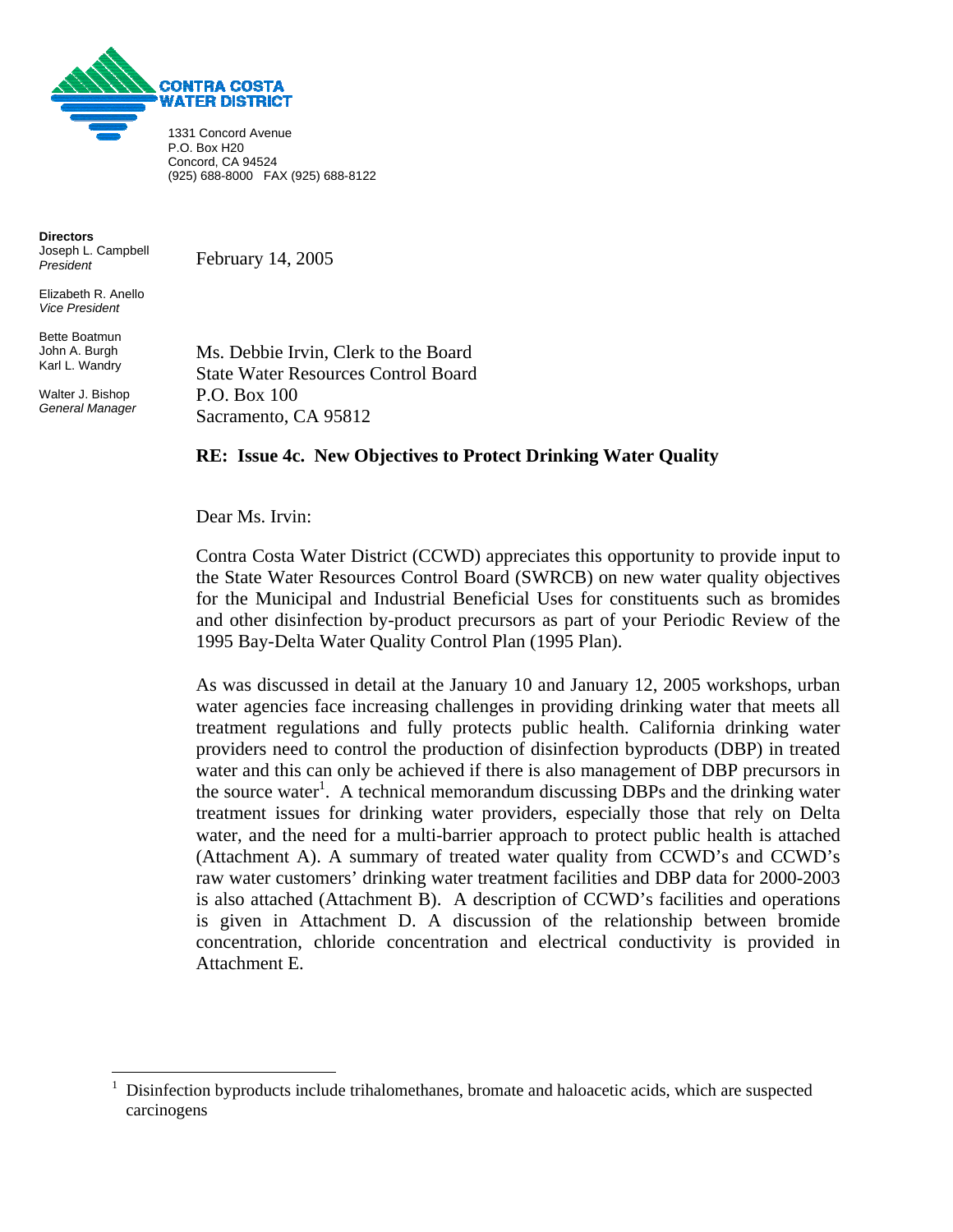

P.O. Box H20 Concord, CA 94524 (925) 688-8000 FAX (925) 688-8122

**Directors**  Joseph L. Campbell *President* 

Elizabeth R. Anello *Vice President* 

Bette Boatmun John A. Burgh Karl L. Wandry

Walter J. Bishop *General Manager*

1

February 14, 2005

Ms. Debbie Irvin, Clerk to the Board State Water Resources Control Board P.O. Box 100 Sacramento, CA 95812

### **RE: Issue 4c. New Objectives to Protect Drinking Water Quality**

#### Dear Ms. Irvin:

Contra Costa Water District (CCWD) appreciates this opportunity to provide input to the State Water Resources Control Board (SWRCB) on new water quality objectives for the Municipal and Industrial Beneficial Uses for constituents such as bromides and other disinfection by-product precursors as part of your Periodic Review of the 1995 Bay-Delta Water Quality Control Plan (1995 Plan).

As was discussed in detail at the January 10 and January 12, 2005 workshops, urban water agencies face increasing challenges in providing drinking water that meets all treatment regulations and fully protects public health. California drinking water providers need to control the production of disinfection byproducts (DBP) in treated water and this can only be achieved if there is also management of DBP precursors in the source water<sup>1</sup>. A technical memorandum discussing DBPs and the drinking water treatment issues for drinking water providers, especially those that rely on Delta water, and the need for a multi-barrier approach to protect public health is attached (Attachment A). A summary of treated water quality from CCWD's and CCWD's raw water customers' drinking water treatment facilities and DBP data for 2000-2003 is also attached (Attachment B). A description of CCWD's facilities and operations is given in Attachment D. A discussion of the relationship between bromide concentration, chloride concentration and electrical conductivity is provided in Attachment E.

<span id="page-0-0"></span><sup>1</sup> Disinfection byproducts include trihalomethanes, bromate and haloacetic acids, which are suspected carcinogens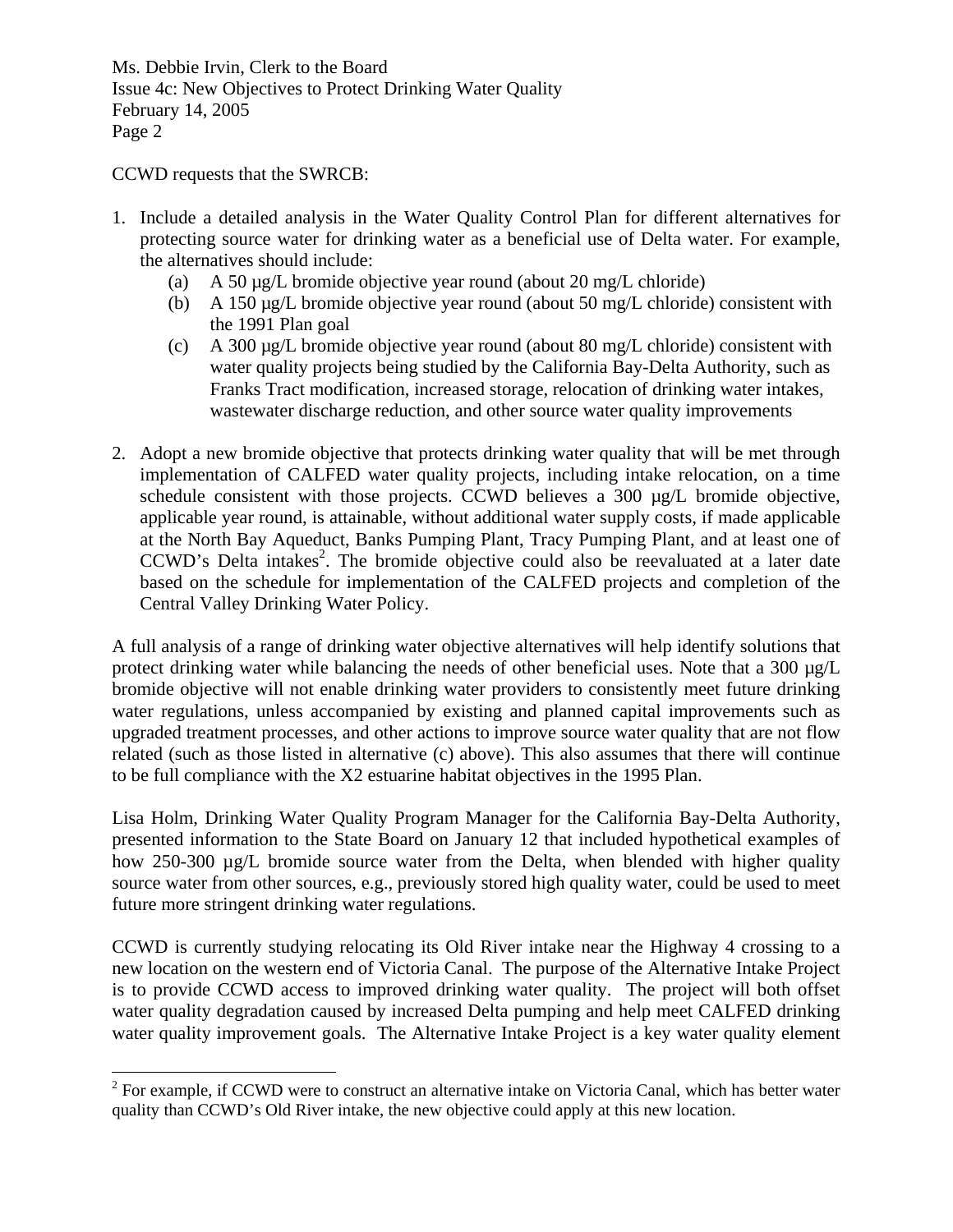CCWD requests that the SWRCB:

 $\overline{a}$ 

- 1. Include a detailed analysis in the Water Quality Control Plan for different alternatives for protecting source water for drinking water as a beneficial use of Delta water. For example, the alternatives should include:
	- (a) A 50 µg/L bromide objective year round (about 20 mg/L chloride)
	- (b) A 150 µg/L bromide objective year round (about 50 mg/L chloride) consistent with the 1991 Plan goal
	- (c) A 300 µg/L bromide objective year round (about 80 mg/L chloride) consistent with water quality projects being studied by the California Bay-Delta Authority, such as Franks Tract modification, increased storage, relocation of drinking water intakes, wastewater discharge reduction, and other source water quality improvements
- 2. Adopt a new bromide objective that protects drinking water quality that will be met through implementation of CALFED water quality projects, including intake relocation, on a time schedule consistent with those projects. CCWD believes a 300 µg/L bromide objective, applicable year round, is attainable, without additional water supply costs, if made applicable at the North Bay Aqueduct, Banks Pumping Plant, Tracy Pumping Plant, and at least one of CCWD's Delta intakes<sup>[2](#page-1-0)</sup>. The bromide objective could also be reevaluated at a later date based on the schedule for implementation of the CALFED projects and completion of the Central Valley Drinking Water Policy.

A full analysis of a range of drinking water objective alternatives will help identify solutions that protect drinking water while balancing the needs of other beneficial uses. Note that a 300  $\mu$ g/L bromide objective will not enable drinking water providers to consistently meet future drinking water regulations, unless accompanied by existing and planned capital improvements such as upgraded treatment processes, and other actions to improve source water quality that are not flow related (such as those listed in alternative (c) above). This also assumes that there will continue to be full compliance with the X2 estuarine habitat objectives in the 1995 Plan.

Lisa Holm, Drinking Water Quality Program Manager for the California Bay-Delta Authority, presented information to the State Board on January 12 that included hypothetical examples of how 250-300  $\mu$ g/L bromide source water from the Delta, when blended with higher quality source water from other sources, e.g., previously stored high quality water, could be used to meet future more stringent drinking water regulations.

CCWD is currently studying relocating its Old River intake near the Highway 4 crossing to a new location on the western end of Victoria Canal. The purpose of the Alternative Intake Project is to provide CCWD access to improved drinking water quality. The project will both offset water quality degradation caused by increased Delta pumping and help meet CALFED drinking water quality improvement goals. The Alternative Intake Project is a key water quality element

<span id="page-1-0"></span> $2^{2}$  For example, if CCWD were to construct an alternative intake on Victoria Canal, which has better water quality than CCWD's Old River intake, the new objective could apply at this new location.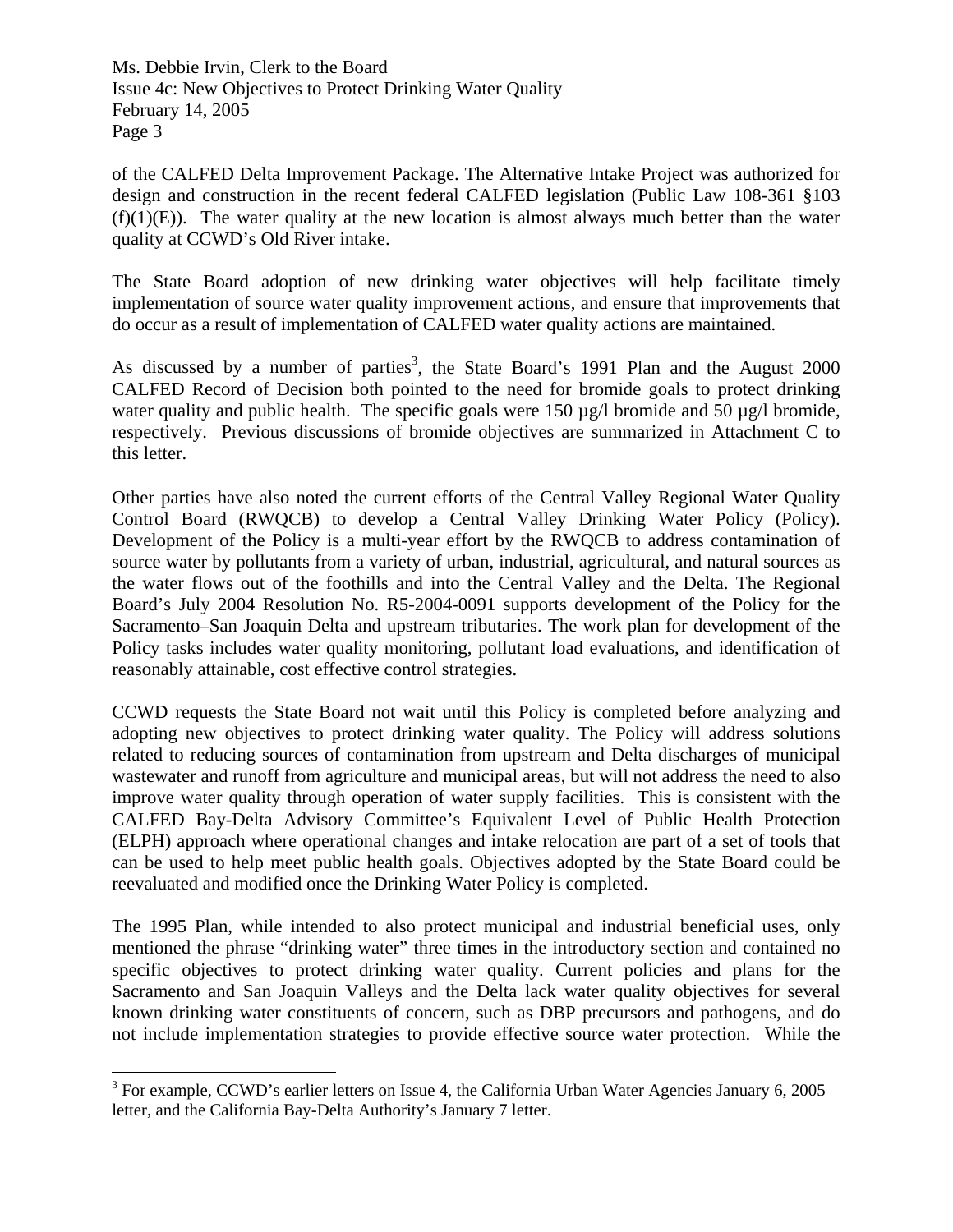of the CALFED Delta Improvement Package. The Alternative Intake Project was authorized for design and construction in the recent federal CALFED legislation (Public Law 108-361 §103  $(f)(1)(E)$ . The water quality at the new location is almost always much better than the water quality at CCWD's Old River intake.

The State Board adoption of new drinking water objectives will help facilitate timely implementation of source water quality improvement actions, and ensure that improvements that do occur as a result of implementation of CALFED water quality actions are maintained.

As discussed by a number of parties<sup>[3](#page-2-0)</sup>, the State Board's 1991 Plan and the August 2000 CALFED Record of Decision both pointed to the need for bromide goals to protect drinking water quality and public health. The specific goals were 150  $\mu$ g/l bromide and 50  $\mu$ g/l bromide, respectively. Previous discussions of bromide objectives are summarized in Attachment C to this letter.

Other parties have also noted the current efforts of the Central Valley Regional Water Quality Control Board (RWQCB) to develop a Central Valley Drinking Water Policy (Policy). Development of the Policy is a multi-year effort by the RWQCB to address contamination of source water by pollutants from a variety of urban, industrial, agricultural, and natural sources as the water flows out of the foothills and into the Central Valley and the Delta. The Regional Board's July 2004 Resolution No. R5-2004-0091 supports development of the Policy for the Sacramento–San Joaquin Delta and upstream tributaries. The work plan for development of the Policy tasks includes water quality monitoring, pollutant load evaluations, and identification of reasonably attainable, cost effective control strategies.

CCWD requests the State Board not wait until this Policy is completed before analyzing and adopting new objectives to protect drinking water quality. The Policy will address solutions related to reducing sources of contamination from upstream and Delta discharges of municipal wastewater and runoff from agriculture and municipal areas, but will not address the need to also improve water quality through operation of water supply facilities. This is consistent with the CALFED Bay-Delta Advisory Committee's Equivalent Level of Public Health Protection (ELPH) approach where operational changes and intake relocation are part of a set of tools that can be used to help meet public health goals. Objectives adopted by the State Board could be reevaluated and modified once the Drinking Water Policy is completed.

The 1995 Plan, while intended to also protect municipal and industrial beneficial uses, only mentioned the phrase "drinking water" three times in the introductory section and contained no specific objectives to protect drinking water quality. Current policies and plans for the Sacramento and San Joaquin Valleys and the Delta lack water quality objectives for several known drinking water constituents of concern, such as DBP precursors and pathogens, and do not include implementation strategies to provide effective source water protection. While the

 $\overline{a}$ 

<span id="page-2-0"></span> $3$  For example, CCWD's earlier letters on Issue 4, the California Urban Water Agencies January 6, 2005 letter, and the California Bay-Delta Authority's January 7 letter.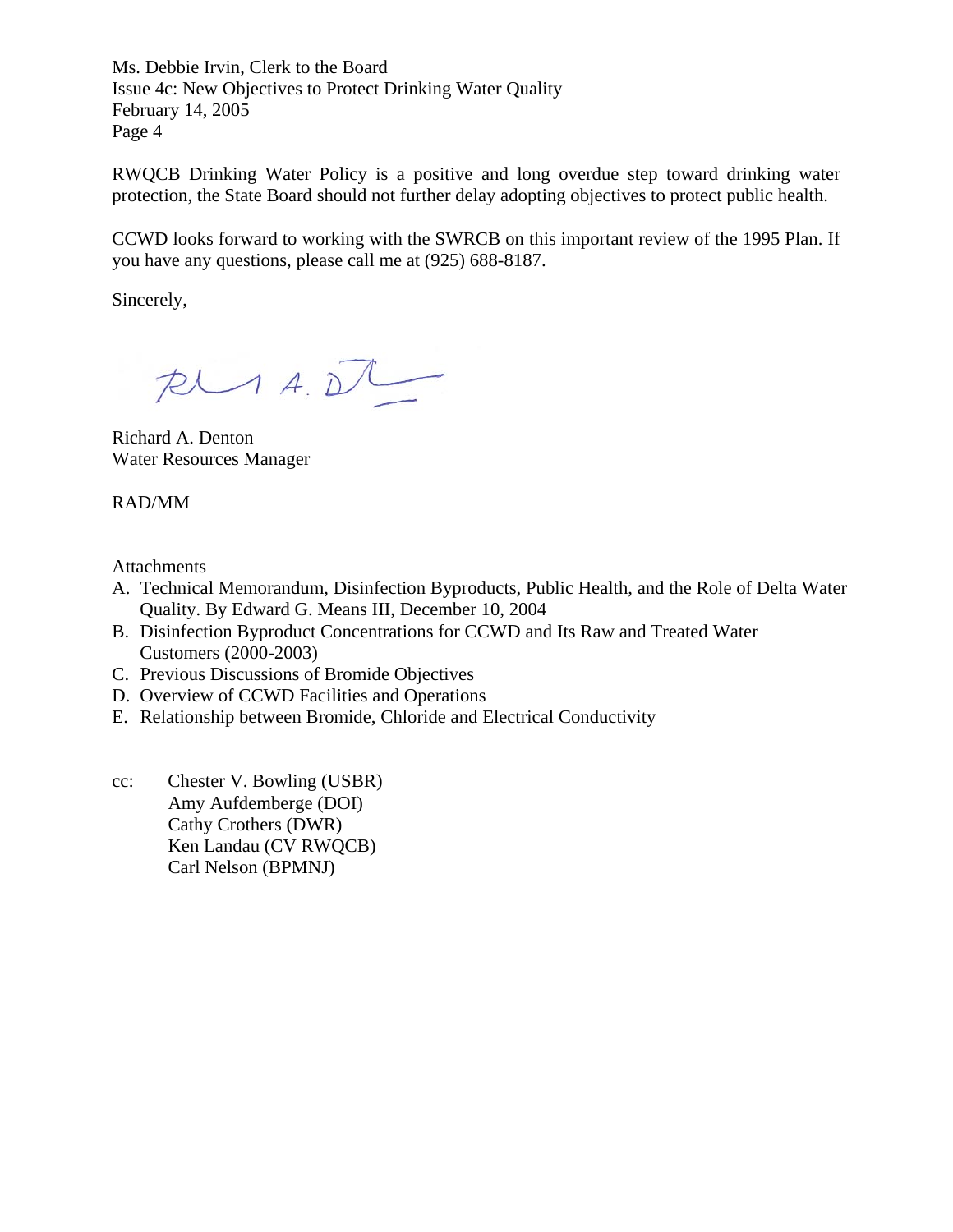RWQCB Drinking Water Policy is a positive and long overdue step toward drinking water protection, the State Board should not further delay adopting objectives to protect public health.

CCWD looks forward to working with the SWRCB on this important review of the 1995 Plan. If you have any questions, please call me at (925) 688-8187.

Sincerely,

 $PLAAD$ 

Richard A. Denton Water Resources Manager

### RAD/MM

**Attachments** 

- A. Technical Memorandum, Disinfection Byproducts, Public Health, and the Role of Delta Water Quality. By Edward G. Means III, December 10, 2004
- B. Disinfection Byproduct Concentrations for CCWD and Its Raw and Treated Water Customers (2000-2003)
- C. Previous Discussions of Bromide Objectives
- D. Overview of CCWD Facilities and Operations
- E. Relationship between Bromide, Chloride and Electrical Conductivity
- cc: Chester V. Bowling (USBR) Amy Aufdemberge (DOI) Cathy Crothers (DWR) Ken Landau (CV RWQCB) Carl Nelson (BPMNJ)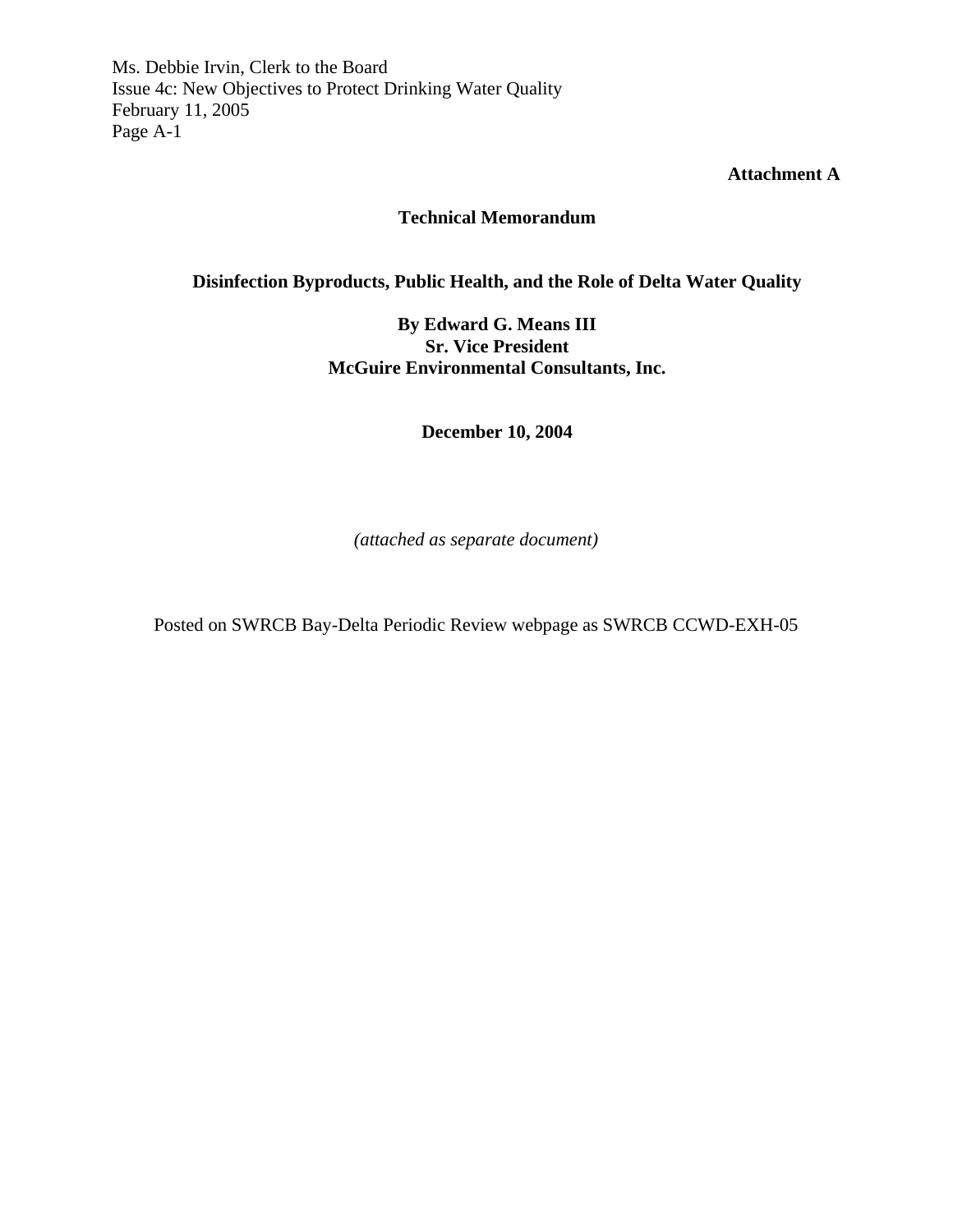**Attachment A** 

## **Technical Memorandum**

# **Disinfection Byproducts, Public Health, and the Role of Delta Water Quality**

**By Edward G. Means III Sr. Vice President McGuire Environmental Consultants, Inc.** 

**December 10, 2004** 

*(attached as separate document)* 

Posted on SWRCB Bay-Delta Periodic Review webpage as SWRCB CCWD-EXH-05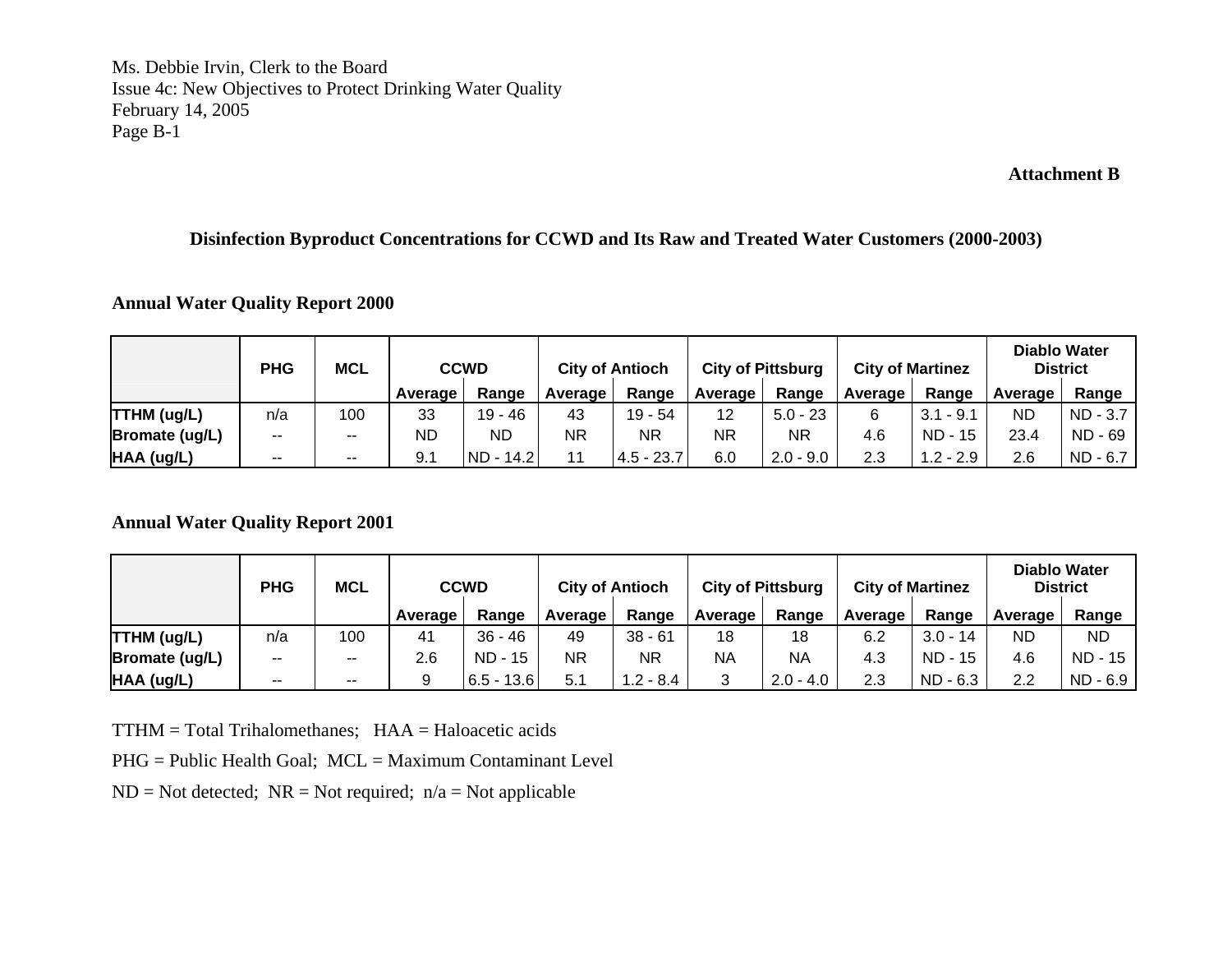#### **Attachment B**

### **Disinfection Byproduct Concentrations for CCWD and Its Raw and Treated Water Customers (2000-2003)**

**Annual Water Quality Report 2000** 

|                    | <b>PHG</b> | <b>MCL</b>               | <b>CCWD</b> |           | <b>City of Antioch</b> |              | <b>City of Pittsburg</b> |             | <b>City of Martinez</b> |             | <b>Diablo Water</b><br><b>District</b> |            |
|--------------------|------------|--------------------------|-------------|-----------|------------------------|--------------|--------------------------|-------------|-------------------------|-------------|----------------------------------------|------------|
|                    |            |                          | Average     | Range     | Average                | Range        | Average                  | Range       | Average                 | Range       | Average                                | Range      |
| <b>TTHM</b> (ug/L) | n/a        | 100                      | 33          | $19 - 46$ | 43                     | $19 - 54$    | 12                       | $5.0 - 23$  | 6                       | $3.1 - 9.1$ | <b>ND</b>                              | ND - 3.7   |
| Bromate (ug/L)     | --         | $\overline{\phantom{a}}$ | <b>ND</b>   | ND        | NR.                    | ΝR           | ΝR                       | <b>NR</b>   | 4.6                     | ND - 15     | 23.4                                   | $ND - 69$  |
| HAA (ug/L)         | $- -$      | $- -$                    | 9.1         | ND - 14.2 | 11                     | $4.5 - 23.7$ | 6.0                      | $2.0 - 9.0$ | 2.3                     | $1.2 - 2.9$ | 2.6                                    | $ND - 6.7$ |

### **Annual Water Quality Report 2001**

|                    | <b>PHG</b> | <b>MCL</b> |         | <b>CCWD</b>  |         | <b>City of Antioch</b> |           | <b>City of Pittsburg</b> |         | <b>City of Martinez</b> |           | <b>Diablo Water</b><br><b>District</b> |  |
|--------------------|------------|------------|---------|--------------|---------|------------------------|-----------|--------------------------|---------|-------------------------|-----------|----------------------------------------|--|
|                    |            |            | Average | Range        | Average | Range                  | Average   | Range                    | Average | Range                   | Average   | Range                                  |  |
| <b>TTHM</b> (ug/L) | n/a        | 100        | 41      | $36 - 46$    | 49      | $38 - 61$              | 18        | 18                       | 6.2     | $3.0 - 14$              | <b>ND</b> | ND.                                    |  |
| Bromate (ug/L)     | $- -$      | $- -$      | 2.6     | ND - 15      | NR.     | ΝR                     | <b>NA</b> | <b>NA</b>                | 4.3     | ND - 15                 | 4.6       | ND - 15                                |  |
| HAA (ug/L)         | $- -$      | $- -$      |         | $6.5 - 13.6$ | 5.1     | $.2 - 8.4$             |           | $2.0 - 4.0$              | 2.3     | $ND - 6.3$              | 2.2       | $ND - 6.9$                             |  |

 $TTHM = Total Trihalomethanes$ ;  $HA = Haloacetic acids$ 

PHG = Public Health Goal; MCL = Maximum Contaminant Level

 $ND = Not detected$ ;  $NR = Not required$ ;  $n/a = Not applicable$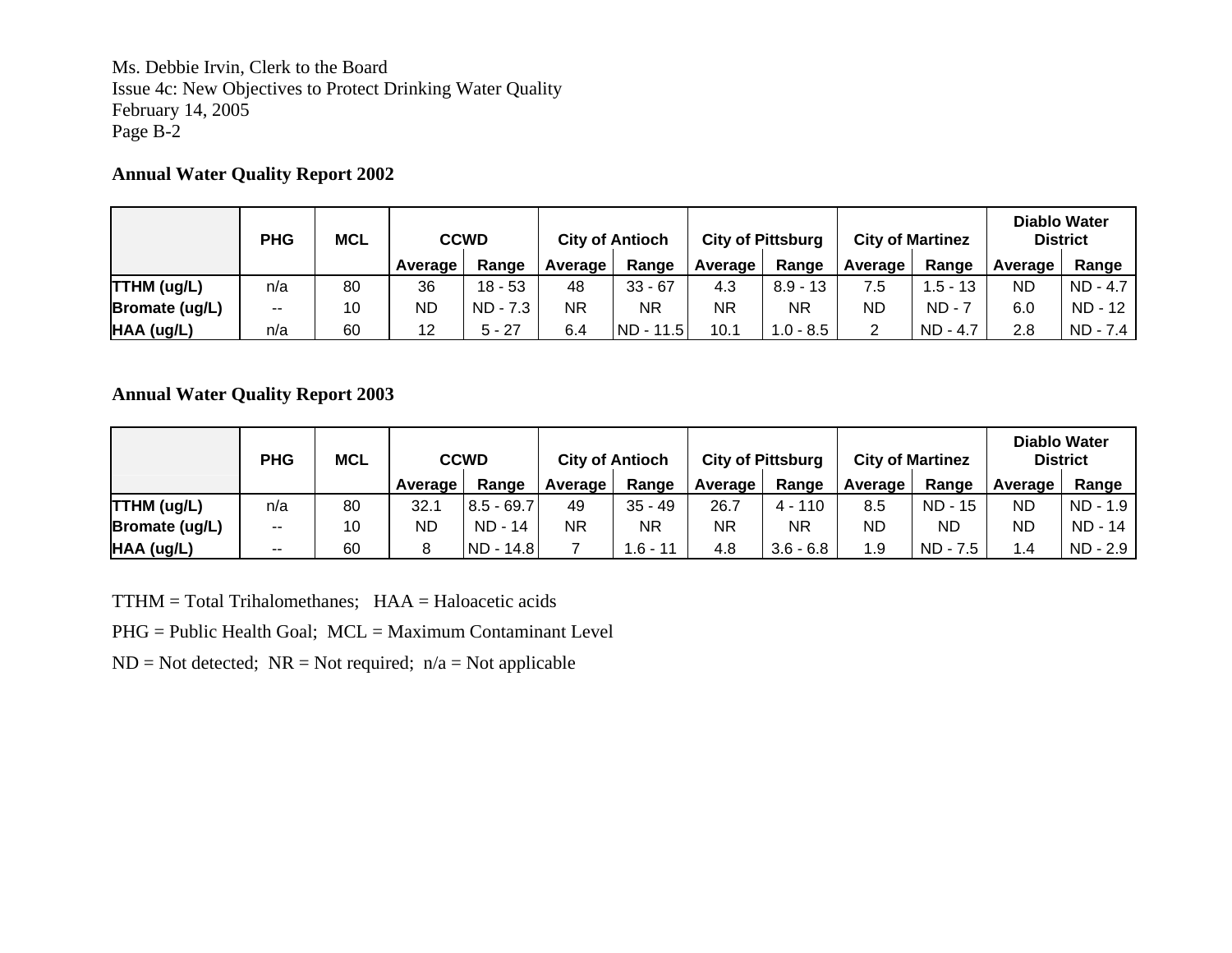## **Annual Water Quality Report 2002**

|                    | <b>PHG</b> | <b>MCL</b> |           | <b>CCWD</b> |         | <b>City of Antioch</b> |           | <b>City of Pittsburg</b> |           | <b>City of Martinez</b> |           | <b>Diablo Water</b><br><b>District</b> |  |
|--------------------|------------|------------|-----------|-------------|---------|------------------------|-----------|--------------------------|-----------|-------------------------|-----------|----------------------------------------|--|
|                    |            |            | Average   | Range       | Average | Range                  | Average   | Range                    | Average   | Range                   | Average   | Range                                  |  |
| <b>TTHM</b> (ug/L) | n/a        | 80         | 36        | $18 - 53$   | 48      | $33 - 67$              | 4.3       | $8.9 - 13$               | 7.5       | 1.5 - 13                | <b>ND</b> | $ND - 4.7$                             |  |
| Bromate (ug/L)     | $- -$      | 10         | <b>ND</b> | ND - 7.3    | ΝR      | ΝR                     | <b>NR</b> | ΝR                       | <b>ND</b> | $ND - 7$                | 6.0       | ND - 12                                |  |
| HAA (ug/L)         | n/a        | 60         | 12        | $5 - 27$    | 6.4     | ND - 11.5              | 10.1      | $1.0 - 8.5$              | っ         | ND - 4.7                | 2.8       | ND - 7.4                               |  |

# **Annual Water Quality Report 2003**

|                    | <b>PHG</b> | <b>MCL</b> |                  | <b>CCWD</b>  |           | <b>City of Antioch</b> |           | <b>City of Pittsburg</b> |           | <b>City of Martinez</b> |           | <b>Diablo Water</b><br><b>District</b> |  |
|--------------------|------------|------------|------------------|--------------|-----------|------------------------|-----------|--------------------------|-----------|-------------------------|-----------|----------------------------------------|--|
|                    |            |            | <b>Average</b> I | Range        | Average   | Range                  | Average   | Range                    | Average   | Range                   | Average   | Range                                  |  |
| <b>TTHM</b> (ug/L) | n/a        | 80         | 32.1             | $8.5 - 69.7$ | 49        | $35 - 49$              | 26.7      | $4 - 110$                | 8.5       | ND - 15                 | <b>ND</b> | $ND - 1.9$                             |  |
| Bromate (ug/L)     | --         | 10         | ND               | ND - 14      | <b>NR</b> | NR.                    | <b>NR</b> | <b>NR</b>                | <b>ND</b> | ND                      | <b>ND</b> | ND - 14 I                              |  |
| HAA (ug/L)         | --         | 60         |                  | $ND - 14.8$  |           | 11 - 6 ا               | 4.8       | $3.6 - 6.8$              | 1.9       | ND - 7.5                | 1.4       | $ND - 2.9$                             |  |

 $TTHM = Total Trihalomethanes; HAA = Haloacetic acids$ 

PHG = Public Health Goal; MCL = Maximum Contaminant Level

 $ND = Not detected$ ;  $NR = Not required$ ;  $n/a = Not applicable$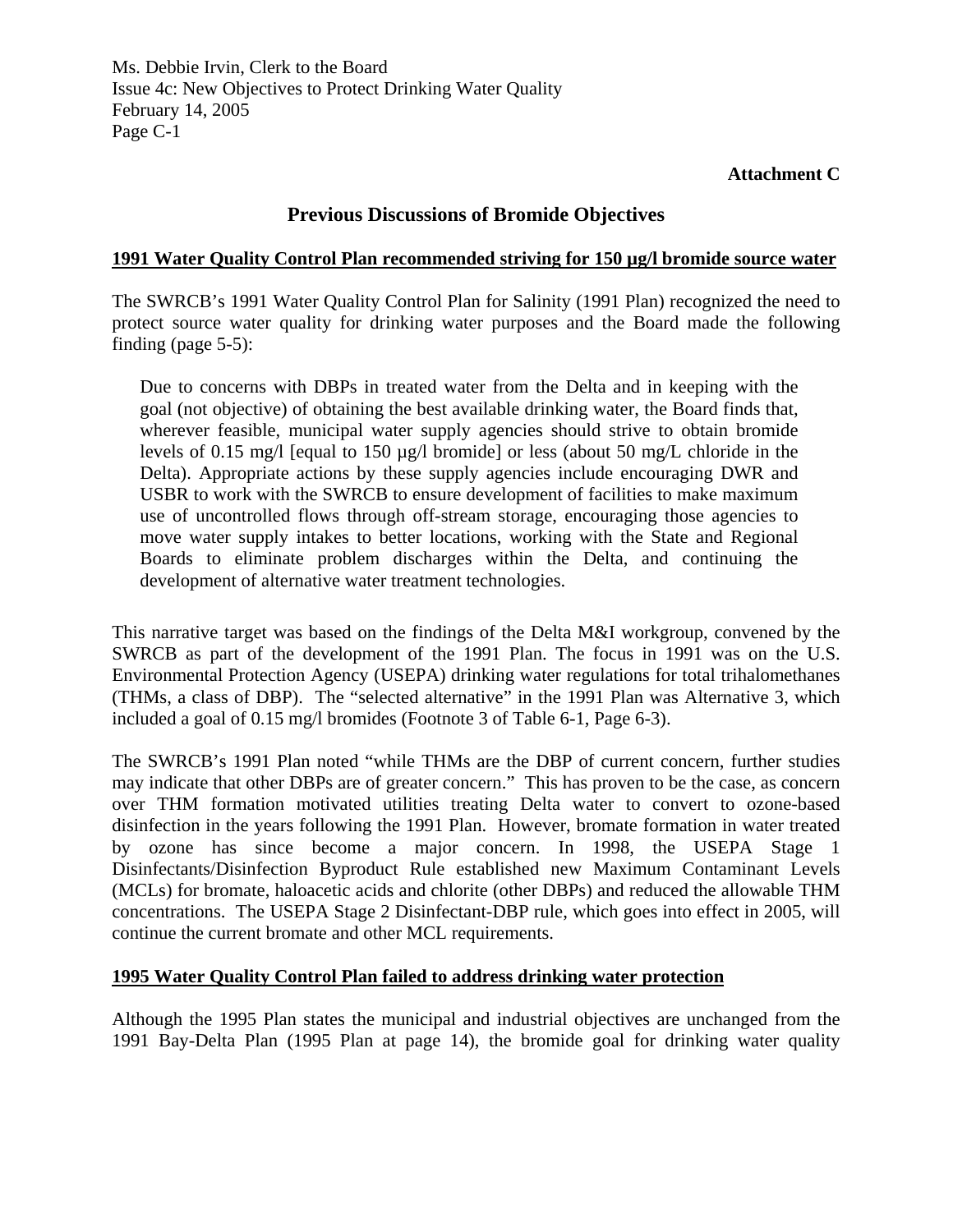### **Attachment C**

## **Previous Discussions of Bromide Objectives**

### **1991 Water Quality Control Plan recommended striving for 150 µg/l bromide source water**

The SWRCB's 1991 Water Quality Control Plan for Salinity (1991 Plan) recognized the need to protect source water quality for drinking water purposes and the Board made the following finding (page 5-5):

Due to concerns with DBPs in treated water from the Delta and in keeping with the goal (not objective) of obtaining the best available drinking water, the Board finds that, wherever feasible, municipal water supply agencies should strive to obtain bromide levels of 0.15 mg/l [equal to 150 µg/l bromide] or less (about 50 mg/L chloride in the Delta). Appropriate actions by these supply agencies include encouraging DWR and USBR to work with the SWRCB to ensure development of facilities to make maximum use of uncontrolled flows through off-stream storage, encouraging those agencies to move water supply intakes to better locations, working with the State and Regional Boards to eliminate problem discharges within the Delta, and continuing the development of alternative water treatment technologies.

This narrative target was based on the findings of the Delta M&I workgroup, convened by the SWRCB as part of the development of the 1991 Plan. The focus in 1991 was on the U.S. Environmental Protection Agency (USEPA) drinking water regulations for total trihalomethanes (THMs, a class of DBP). The "selected alternative" in the 1991 Plan was Alternative 3, which included a goal of 0.15 mg/l bromides (Footnote 3 of Table 6-1, Page 6-3).

The SWRCB's 1991 Plan noted "while THMs are the DBP of current concern, further studies may indicate that other DBPs are of greater concern." This has proven to be the case, as concern over THM formation motivated utilities treating Delta water to convert to ozone-based disinfection in the years following the 1991 Plan. However, bromate formation in water treated by ozone has since become a major concern. In 1998, the USEPA Stage 1 Disinfectants/Disinfection Byproduct Rule established new Maximum Contaminant Levels (MCLs) for bromate, haloacetic acids and chlorite (other DBPs) and reduced the allowable THM concentrations. The USEPA Stage 2 Disinfectant-DBP rule, which goes into effect in 2005, will continue the current bromate and other MCL requirements.

### **1995 Water Quality Control Plan failed to address drinking water protection**

Although the 1995 Plan states the municipal and industrial objectives are unchanged from the 1991 Bay-Delta Plan (1995 Plan at page 14), the bromide goal for drinking water quality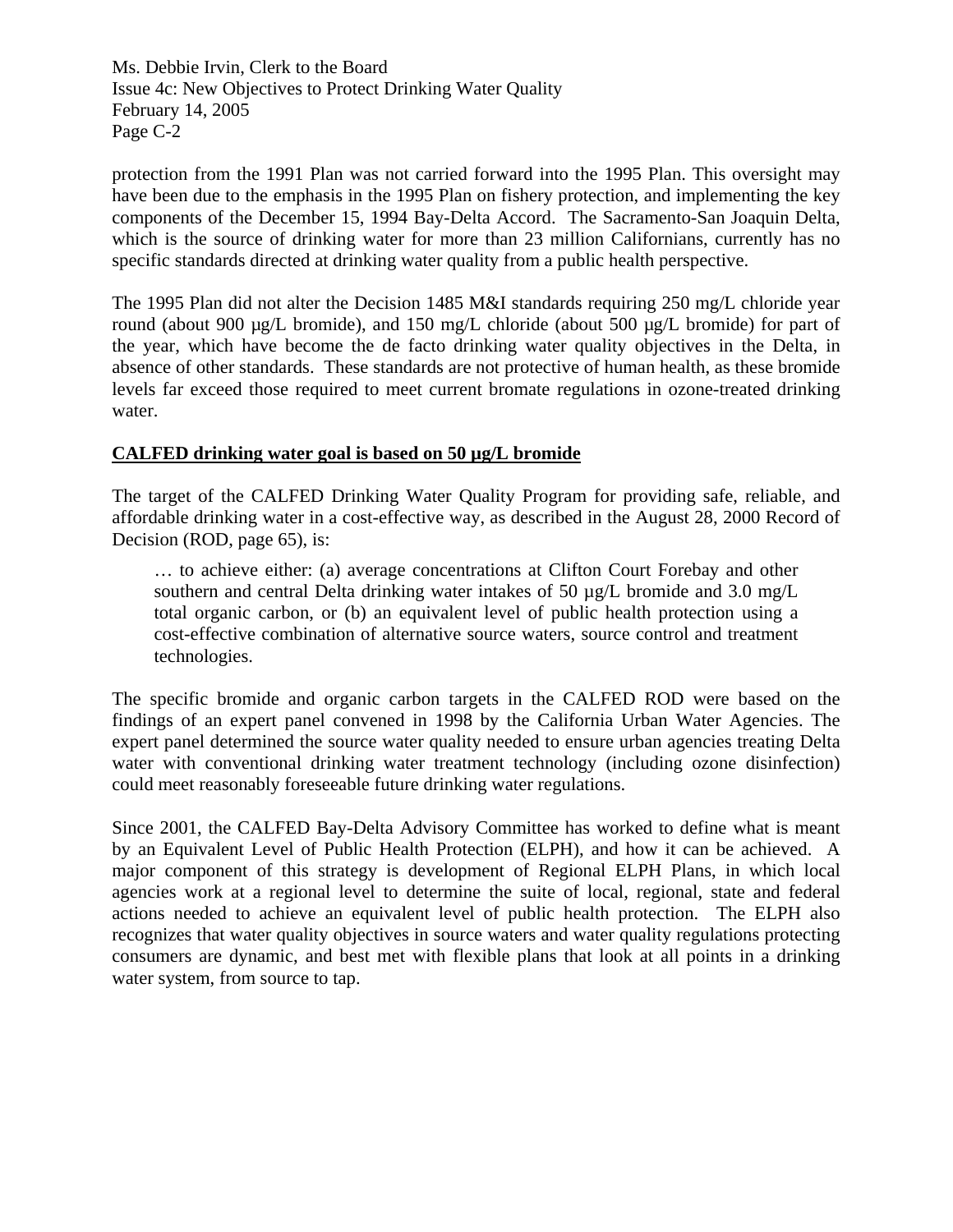protection from the 1991 Plan was not carried forward into the 1995 Plan. This oversight may have been due to the emphasis in the 1995 Plan on fishery protection, and implementing the key components of the December 15, 1994 Bay-Delta Accord. The Sacramento-San Joaquin Delta, which is the source of drinking water for more than 23 million Californians, currently has no specific standards directed at drinking water quality from a public health perspective.

The 1995 Plan did not alter the Decision 1485 M&I standards requiring 250 mg/L chloride year round (about 900 µg/L bromide), and 150 mg/L chloride (about 500 µg/L bromide) for part of the year, which have become the de facto drinking water quality objectives in the Delta, in absence of other standards. These standards are not protective of human health, as these bromide levels far exceed those required to meet current bromate regulations in ozone-treated drinking water.

## **CALFED drinking water goal is based on 50 µg/L bromide**

The target of the CALFED Drinking Water Quality Program for providing safe, reliable, and affordable drinking water in a cost-effective way, as described in the August 28, 2000 Record of Decision (ROD, page 65), is:

… to achieve either: (a) average concentrations at Clifton Court Forebay and other southern and central Delta drinking water intakes of 50  $\mu$ g/L bromide and 3.0 mg/L total organic carbon, or (b) an equivalent level of public health protection using a cost-effective combination of alternative source waters, source control and treatment technologies.

The specific bromide and organic carbon targets in the CALFED ROD were based on the findings of an expert panel convened in 1998 by the California Urban Water Agencies. The expert panel determined the source water quality needed to ensure urban agencies treating Delta water with conventional drinking water treatment technology (including ozone disinfection) could meet reasonably foreseeable future drinking water regulations.

Since 2001, the CALFED Bay-Delta Advisory Committee has worked to define what is meant by an Equivalent Level of Public Health Protection (ELPH), and how it can be achieved. A major component of this strategy is development of Regional ELPH Plans, in which local agencies work at a regional level to determine the suite of local, regional, state and federal actions needed to achieve an equivalent level of public health protection. The ELPH also recognizes that water quality objectives in source waters and water quality regulations protecting consumers are dynamic, and best met with flexible plans that look at all points in a drinking water system, from source to tap.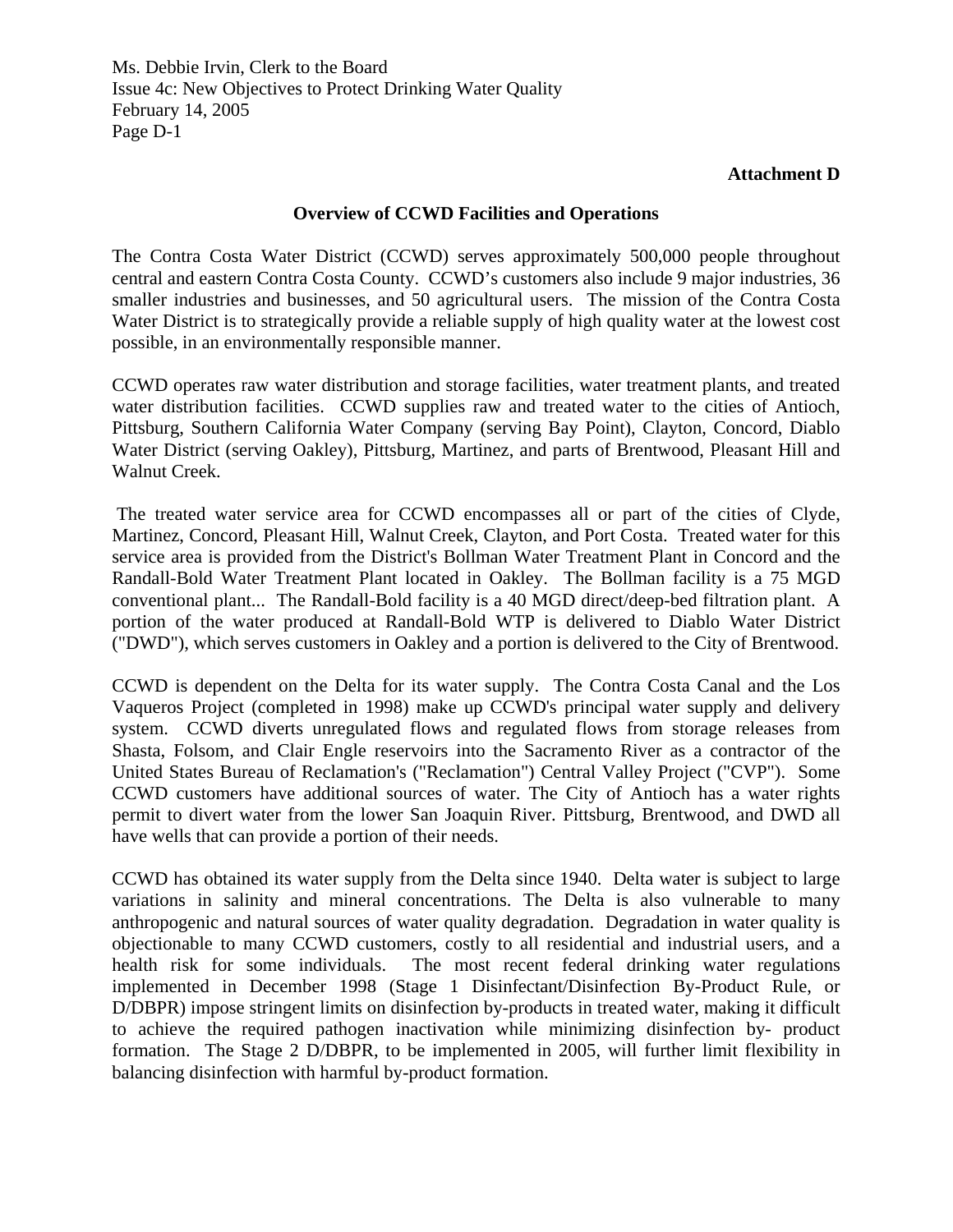#### **Attachment D**

#### **Overview of CCWD Facilities and Operations**

The Contra Costa Water District (CCWD) serves approximately 500,000 people throughout central and eastern Contra Costa County. CCWD's customers also include 9 major industries, 36 smaller industries and businesses, and 50 agricultural users. The mission of the Contra Costa Water District is to strategically provide a reliable supply of high quality water at the lowest cost possible, in an environmentally responsible manner.

CCWD operates raw water distribution and storage facilities, water treatment plants, and treated water distribution facilities. CCWD supplies raw and treated water to the cities of Antioch, Pittsburg, Southern California Water Company (serving Bay Point), Clayton, Concord, Diablo Water District (serving Oakley), Pittsburg, Martinez, and parts of Brentwood, Pleasant Hill and Walnut Creek.

 The treated water service area for CCWD encompasses all or part of the cities of Clyde, Martinez, Concord, Pleasant Hill, Walnut Creek, Clayton, and Port Costa. Treated water for this service area is provided from the District's Bollman Water Treatment Plant in Concord and the Randall-Bold Water Treatment Plant located in Oakley. The Bollman facility is a 75 MGD conventional plant... The Randall-Bold facility is a 40 MGD direct/deep-bed filtration plant. A portion of the water produced at Randall-Bold WTP is delivered to Diablo Water District ("DWD"), which serves customers in Oakley and a portion is delivered to the City of Brentwood.

CCWD is dependent on the Delta for its water supply. The Contra Costa Canal and the Los Vaqueros Project (completed in 1998) make up CCWD's principal water supply and delivery system. CCWD diverts unregulated flows and regulated flows from storage releases from Shasta, Folsom, and Clair Engle reservoirs into the Sacramento River as a contractor of the United States Bureau of Reclamation's ("Reclamation") Central Valley Project ("CVP"). Some CCWD customers have additional sources of water. The City of Antioch has a water rights permit to divert water from the lower San Joaquin River. Pittsburg, Brentwood, and DWD all have wells that can provide a portion of their needs.

CCWD has obtained its water supply from the Delta since 1940. Delta water is subject to large variations in salinity and mineral concentrations. The Delta is also vulnerable to many anthropogenic and natural sources of water quality degradation. Degradation in water quality is objectionable to many CCWD customers, costly to all residential and industrial users, and a health risk for some individuals. The most recent federal drinking water regulations implemented in December 1998 (Stage 1 Disinfectant/Disinfection By-Product Rule, or D/DBPR) impose stringent limits on disinfection by-products in treated water, making it difficult to achieve the required pathogen inactivation while minimizing disinfection by- product formation. The Stage 2 D/DBPR, to be implemented in 2005, will further limit flexibility in balancing disinfection with harmful by-product formation.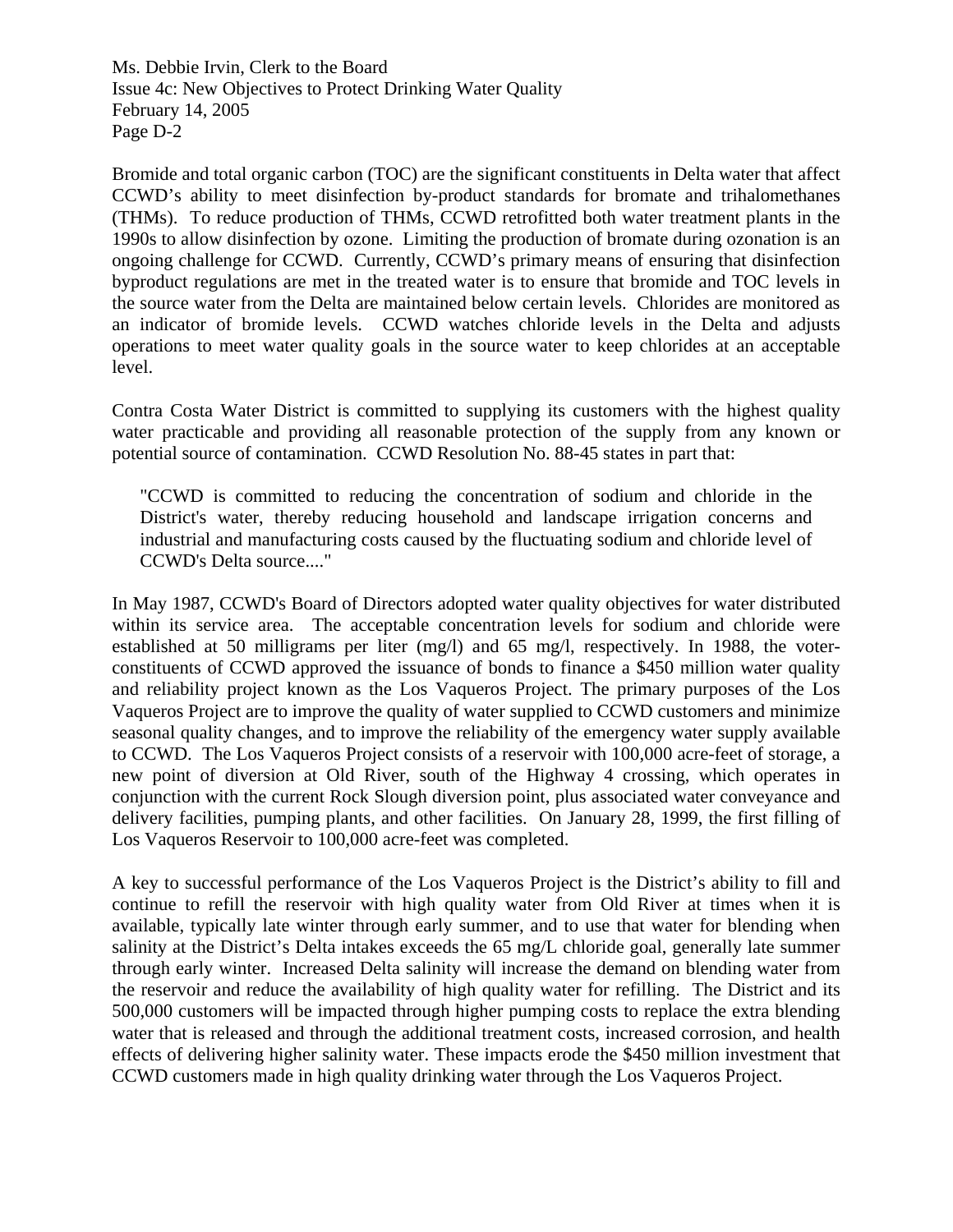Bromide and total organic carbon (TOC) are the significant constituents in Delta water that affect CCWD's ability to meet disinfection by-product standards for bromate and trihalomethanes (THMs). To reduce production of THMs, CCWD retrofitted both water treatment plants in the 1990s to allow disinfection by ozone. Limiting the production of bromate during ozonation is an ongoing challenge for CCWD. Currently, CCWD's primary means of ensuring that disinfection byproduct regulations are met in the treated water is to ensure that bromide and TOC levels in the source water from the Delta are maintained below certain levels. Chlorides are monitored as an indicator of bromide levels. CCWD watches chloride levels in the Delta and adjusts operations to meet water quality goals in the source water to keep chlorides at an acceptable level.

Contra Costa Water District is committed to supplying its customers with the highest quality water practicable and providing all reasonable protection of the supply from any known or potential source of contamination. CCWD Resolution No. 88-45 states in part that:

"CCWD is committed to reducing the concentration of sodium and chloride in the District's water, thereby reducing household and landscape irrigation concerns and industrial and manufacturing costs caused by the fluctuating sodium and chloride level of CCWD's Delta source...."

In May 1987, CCWD's Board of Directors adopted water quality objectives for water distributed within its service area. The acceptable concentration levels for sodium and chloride were established at 50 milligrams per liter (mg/l) and 65 mg/l, respectively. In 1988, the voterconstituents of CCWD approved the issuance of bonds to finance a \$450 million water quality and reliability project known as the Los Vaqueros Project. The primary purposes of the Los Vaqueros Project are to improve the quality of water supplied to CCWD customers and minimize seasonal quality changes, and to improve the reliability of the emergency water supply available to CCWD. The Los Vaqueros Project consists of a reservoir with 100,000 acre-feet of storage, a new point of diversion at Old River, south of the Highway 4 crossing, which operates in conjunction with the current Rock Slough diversion point, plus associated water conveyance and delivery facilities, pumping plants, and other facilities. On January 28, 1999, the first filling of Los Vaqueros Reservoir to 100,000 acre-feet was completed.

A key to successful performance of the Los Vaqueros Project is the District's ability to fill and continue to refill the reservoir with high quality water from Old River at times when it is available, typically late winter through early summer, and to use that water for blending when salinity at the District's Delta intakes exceeds the 65 mg/L chloride goal, generally late summer through early winter. Increased Delta salinity will increase the demand on blending water from the reservoir and reduce the availability of high quality water for refilling. The District and its 500,000 customers will be impacted through higher pumping costs to replace the extra blending water that is released and through the additional treatment costs, increased corrosion, and health effects of delivering higher salinity water. These impacts erode the \$450 million investment that CCWD customers made in high quality drinking water through the Los Vaqueros Project.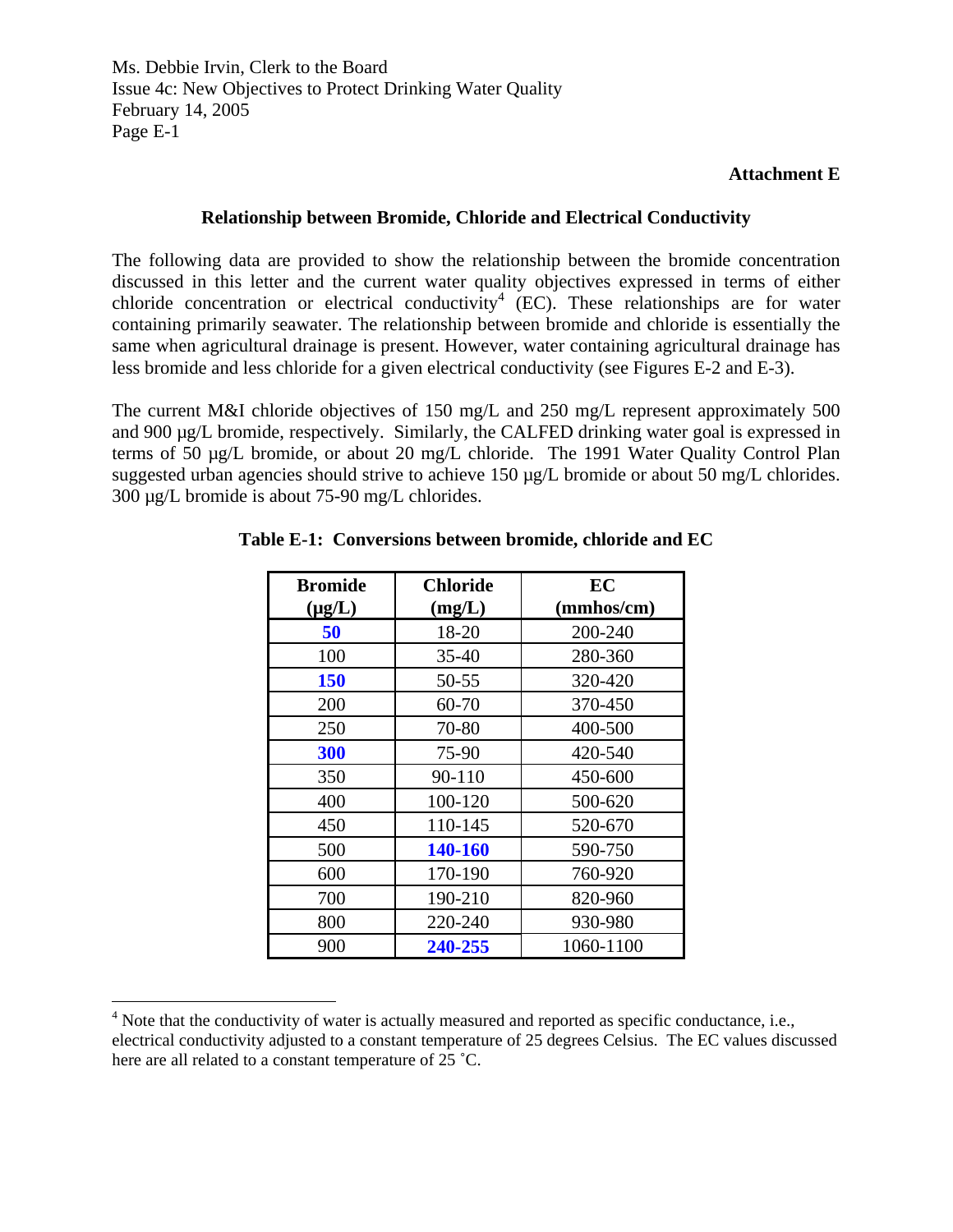#### **Attachment E**

### **Relationship between Bromide, Chloride and Electrical Conductivity**

The following data are provided to show the relationship between the bromide concentration discussed in this letter and the current water quality objectives expressed in terms of either chloride concentration or electrical conductivity<sup>4</sup> (EC). These relationships are for water containing primarily seawater. The relationship between bromide and chloride is essentially the same when agricultural drainage is present. However, water containing agricultural drainage has less bromide and less chloride for a given electrical conductivity (see Figures E-2 and E-3).

The current M&I chloride objectives of 150 mg/L and 250 mg/L represent approximately 500 and 900 µg/L bromide, respectively. Similarly, the CALFED drinking water goal is expressed in terms of 50 µg/L bromide, or about 20 mg/L chloride. The 1991 Water Quality Control Plan suggested urban agencies should strive to achieve 150 µg/L bromide or about 50 mg/L chlorides. 300 µg/L bromide is about 75-90 mg/L chlorides.

| <b>Bromide</b> | <b>Chloride</b> | EC         |  |  |  |
|----------------|-----------------|------------|--|--|--|
| $(\mu g/L)$    | (mg/L)          | (mmhos/cm) |  |  |  |
| 50             | 18-20           | 200-240    |  |  |  |
| 100            | 35-40           | 280-360    |  |  |  |
| 150            | $50 - 55$       | 320-420    |  |  |  |
| 200            | $60 - 70$       | 370-450    |  |  |  |
| 250            | 70-80           | 400-500    |  |  |  |
| 300            | 75-90           | 420-540    |  |  |  |
| 350            | 90-110          | 450-600    |  |  |  |
| 400            | 100-120         | 500-620    |  |  |  |
| 450            | 110-145         | 520-670    |  |  |  |
| 500            | 140-160         | 590-750    |  |  |  |
| 600            | 170-190         | 760-920    |  |  |  |
| 700            | 190-210         | 820-960    |  |  |  |
| 800            | 220-240         | 930-980    |  |  |  |
| 900            | 240-255         | 1060-1100  |  |  |  |

#### **Table E-1: Conversions between bromide, chloride and EC**

 $\overline{a}$ 

<span id="page-11-0"></span> $4$  Note that the conductivity of water is actually measured and reported as specific conductance, i.e., electrical conductivity adjusted to a constant temperature of 25 degrees Celsius. The EC values discussed here are all related to a constant temperature of 25 ˚C.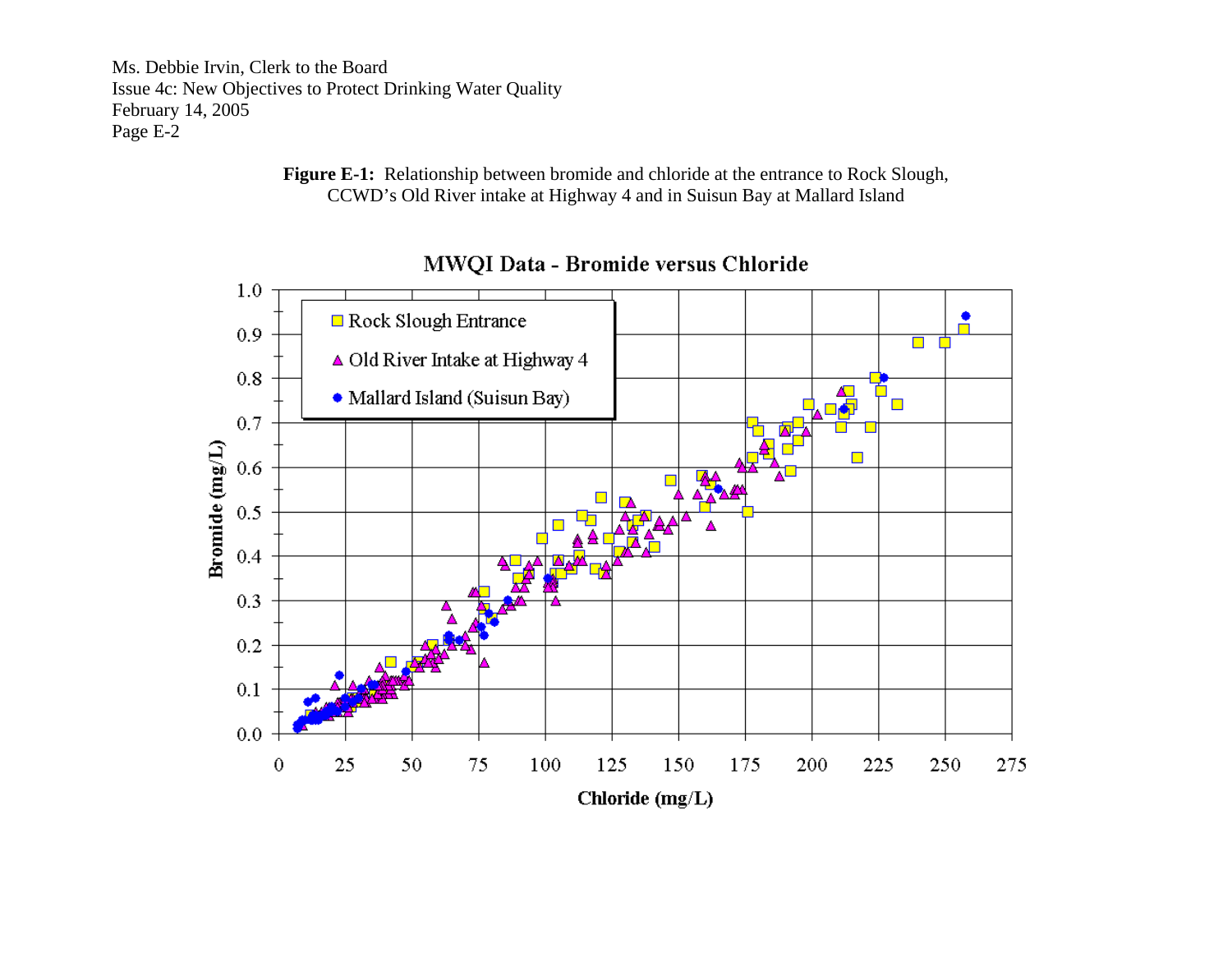> **Figure E-1:** Relationship between bromide and chloride at the entrance to Rock Slough, CCWD's Old River intake at Highway 4 and in Suisun Bay at Mallard Island



MWQI Data - Bromide versus Chloride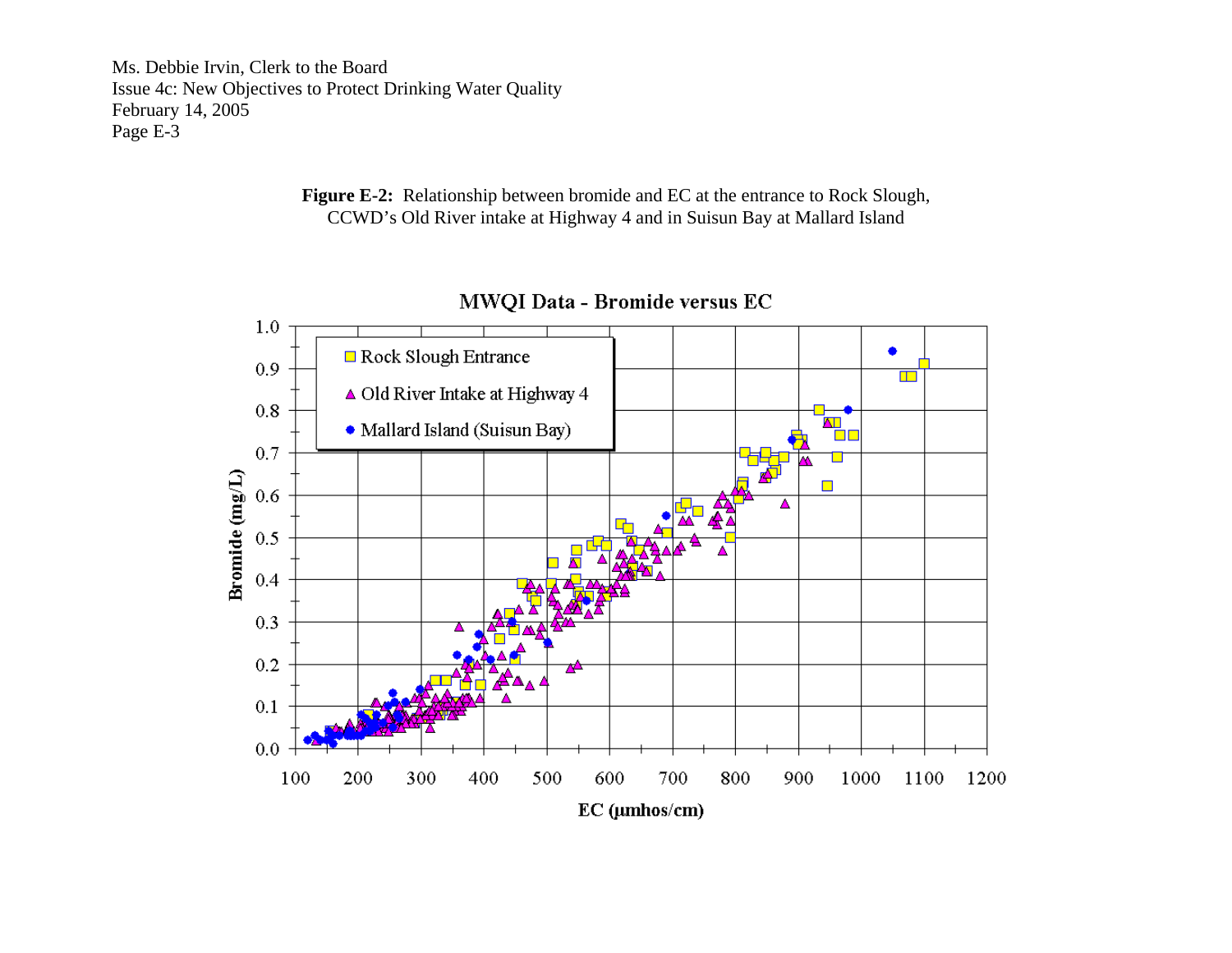> **Figure E-2:** Relationship between bromide and EC at the entrance to Rock Slough, CCWD's Old River intake at Highway 4 and in Suisun Bay at Mallard Island



MWQI Data - Bromide versus EC